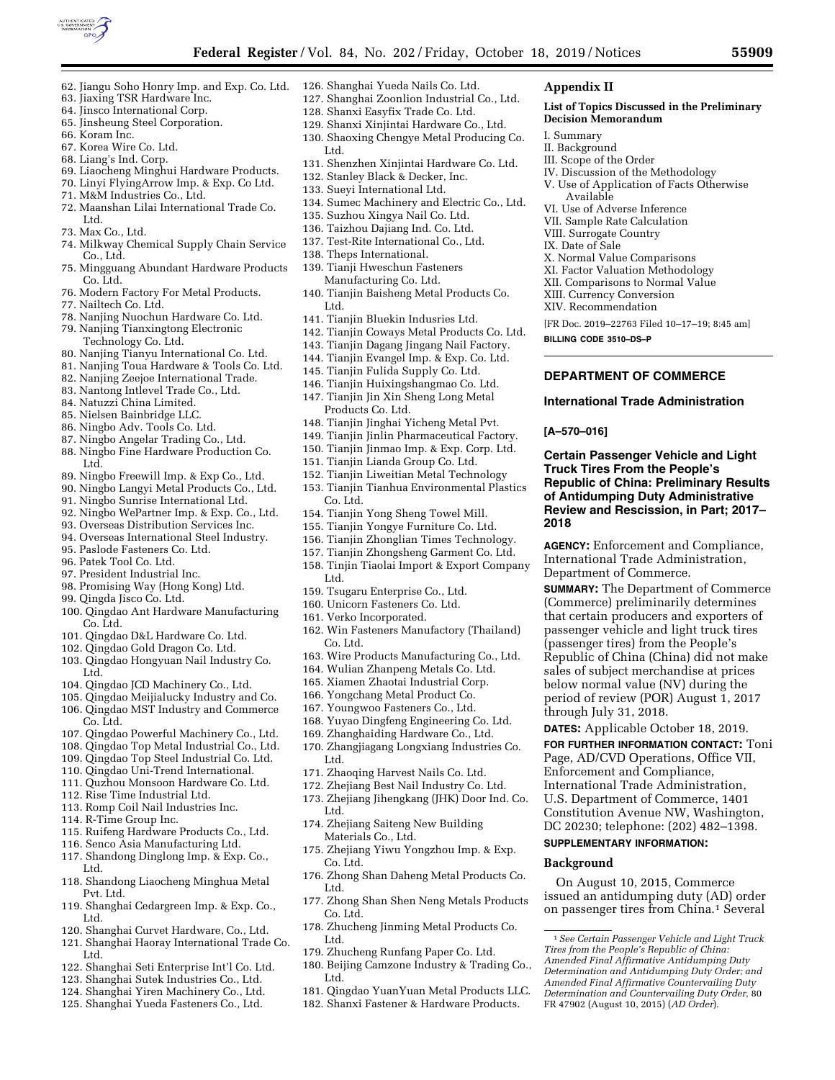

**Appendix II** 

I. Summary II. Background III. Scope of the Order

**Decision Memorandum** 

Available

**BILLING CODE 3510–DS–P** 

**[A–570–016]** 

**2018** 

**List of Topics Discussed in the Preliminary** 

IV. Discussion of the Methodology V. Use of Application of Facts Otherwise

VI. Use of Adverse Inference VII. Sample Rate Calculation VIII. Surrogate Country IX. Date of Sale

X. Normal Value Comparisons XI. Factor Valuation Methodology XII. Comparisons to Normal Value XIII. Currency Conversion XIV. Recommendation

[FR Doc. 2019–22763 Filed 10–17–19; 8:45 am]

**Certain Passenger Vehicle and Light Truck Tires From the People's** 

**Republic of China: Preliminary Results of Antidumping Duty Administrative Review and Rescission, in Part; 2017–** 

**AGENCY:** Enforcement and Compliance, International Trade Administration,

**SUMMARY:** The Department of Commerce (Commerce) preliminarily determines that certain producers and exporters of passenger vehicle and light truck tires (passenger tires) from the People's Republic of China (China) did not make sales of subject merchandise at prices below normal value (NV) during the period of review (POR) August 1, 2017

**DATES:** Applicable October 18, 2019. **FOR FURTHER INFORMATION CONTACT:** Toni Page, AD/CVD Operations, Office VII, Enforcement and Compliance, International Trade Administration, U.S. Department of Commerce, 1401 Constitution Avenue NW, Washington, DC 20230; telephone: (202) 482–1398.

**SUPPLEMENTARY INFORMATION:** 

**Background** 

Department of Commerce.

through July 31, 2018.

**DEPARTMENT OF COMMERCE International Trade Administration** 

1*See Certain Passenger Vehicle and Light Truck Tires from the People's Republic of China: Amended Final Affirmative Antidumping Duty Determination and Antidumping Duty Order; and Amended Final Affirmative Countervailing Duty Determination and Countervailing Duty Order,* 80 FR 47902 (August 10, 2015) (*AD Order*).

On August 10, 2015, Commerce issued an antidumping duty (AD) order on passenger tires from China.1 Several

- 62. Jiangu Soho Honry Imp. and Exp. Co. Ltd.
- 63. Jiaxing TSR Hardware Inc.
- 64. Jinsco International Corp.
- 65. Jinsheung Steel Corporation.
- 66. Koram Inc.
- 67. Korea Wire Co. Ltd.
- 68. Liang's Ind. Corp.
- 69. Liaocheng Minghui Hardware Products.
- 70. Linyi FlyingArrow Imp. & Exp. Co Ltd.
- 71. M&M Industries Co., Ltd. 72. Maanshan Lilai International Trade Co.
- Ltd. 73. Max Co., Ltd.
- 74. Milkway Chemical Supply Chain Service Co., Ltd.
- 75. Mingguang Abundant Hardware Products Co. Ltd.
- 76. Modern Factory For Metal Products.
- 77. Nailtech Co. Ltd.
- 78. Nanjing Nuochun Hardware Co. Ltd.
- 79. Nanjing Tianxingtong Electronic
- Technology Co. Ltd. 80. Nanjing Tianyu International Co. Ltd.
- 81. Nanjing Toua Hardware & Tools Co. Ltd.
- 82. Nanjing Zeejoe International Trade.
- 83. Nantong Intlevel Trade Co., Ltd.
- 84. Natuzzi China Limited.
- 85. Nielsen Bainbridge LLC.
- 86. Ningbo Adv. Tools Co. Ltd.
- 87. Ningbo Angelar Trading Co., Ltd.
- 88. Ningbo Fine Hardware Production Co. Ltd.
- 89. Ningbo Freewill Imp. & Exp Co., Ltd.
- 90. Ningbo Langyi Metal Products Co., Ltd.
- 91. Ningbo Sunrise International Ltd.
- 92. Ningbo WePartner Imp. & Exp. Co., Ltd.
- 93. Overseas Distribution Services Inc.
- 94. Overseas International Steel Industry.
- 95. Paslode Fasteners Co. Ltd.
- 96. Patek Tool Co. Ltd.
- 97. President Industrial Inc.
- 98. Promising Way (Hong Kong) Ltd.
- 99. Qingda Jisco Co. Ltd.
- 100. Qingdao Ant Hardware Manufacturing Co. Ltd.
- 101. Qingdao D&L Hardware Co. Ltd.
- 102. Qingdao Gold Dragon Co. Ltd.
- 103. Qingdao Hongyuan Nail Industry Co. Ltd.
- 104. Qingdao JCD Machinery Co., Ltd.
- 105. Qingdao Meijialucky Industry and Co. 106. Qingdao MST Industry and Commerce
- Co. Ltd.
- 107. Qingdao Powerful Machinery Co., Ltd.
- 108. Qingdao Top Metal Industrial Co., Ltd.
- 109. Qingdao Top Steel Industrial Co. Ltd.
- 110. Qingdao Uni-Trend International.
- 111. Quzhou Monsoon Hardware Co. Ltd.
- 112. Rise Time Industrial Ltd.
- 113. Romp Coil Nail Industries Inc.
- 114. R-Time Group Inc.
- 115. Ruifeng Hardware Products Co., Ltd.
- 116. Senco Asia Manufacturing Ltd.
- 117. Shandong Dinglong Imp. & Exp. Co., Ltd.
- 118. Shandong Liaocheng Minghua Metal Pvt. Ltd.
- 119. Shanghai Cedargreen Imp. & Exp. Co., Ltd.
- 120. Shanghai Curvet Hardware, Co., Ltd.
- 121. Shanghai Haoray International Trade Co. Ltd.
- 122. Shanghai Seti Enterprise Int'l Co. Ltd.
- 123. Shanghai Sutek Industries Co., Ltd.
- 124. Shanghai Yiren Machinery Co., Ltd.
- 125. Shanghai Yueda Fasteners Co., Ltd.
- 126. Shanghai Yueda Nails Co. Ltd.
- 127. Shanghai Zoonlion Industrial Co., Ltd.
- 128. Shanxi Easyfix Trade Co. Ltd.
- 129. Shanxi Xinjintai Hardware Co., Ltd.
- 130. Shaoxing Chengye Metal Producing Co. Ltd.
- 131. Shenzhen Xinjintai Hardware Co. Ltd.
- 132. Stanley Black & Decker, Inc.
- 133. Sueyi International Ltd.
- 134. Sumec Machinery and Electric Co., Ltd.
- 135. Suzhou Xingya Nail Co. Ltd.
- 136. Taizhou Dajiang Ind. Co. Ltd.
- 137. Test-Rite International Co., Ltd.
- 138. Theps International.
- 139. Tianji Hweschun Fasteners Manufacturing Co. Ltd.
- 140. Tianjin Baisheng Metal Products Co. Ltd.
- 141. Tianjin Bluekin Indusries Ltd.
- 142. Tianjin Coways Metal Products Co. Ltd.
- 143. Tianjin Dagang Jingang Nail Factory.
- 144. Tianjin Evangel Imp. & Exp. Co. Ltd.
- 145. Tianjin Fulida Supply Co. Ltd.
- 146. Tianjin Huixingshangmao Co. Ltd.
- 147. Tianjin Jin Xin Sheng Long Metal Products Co. Ltd.
- 148. Tianjin Jinghai Yicheng Metal Pvt.
- 149. Tianjin Jinlin Pharmaceutical Factory.
- 150. Tianjin Jinmao Imp. & Exp. Corp. Ltd.
- 151. Tianjin Lianda Group Co. Ltd.
- 152. Tianjin Liweitian Metal Technology
- 153. Tianjin Tianhua Environmental Plastics Co. Ltd.
- 154. Tianjin Yong Sheng Towel Mill.
- 155. Tianjin Yongye Furniture Co. Ltd.
- 156. Tianjin Zhonglian Times Technology.
- 157. Tianjin Zhongsheng Garment Co. Ltd.
- 158. Tinjin Tiaolai Import & Export Company Ltd.

162. Win Fasteners Manufactory (Thailand)

163. Wire Products Manufacturing Co., Ltd. 164. Wulian Zhanpeng Metals Co. Ltd. 165. Xiamen Zhaotai Industrial Corp. 166. Yongchang Metal Product Co. 167. Youngwoo Fasteners Co., Ltd. 168. Yuyao Dingfeng Engineering Co. Ltd. 169. Zhanghaiding Hardware Co., Ltd. 170. Zhangjiagang Longxiang Industries Co.

171. Zhaoqing Harvest Nails Co. Ltd. 172. Zhejiang Best Nail Industry Co. Ltd. 173. Zhejiang Jihengkang (JHK) Door Ind. Co.

174. Zhejiang Saiteng New Building Materials Co., Ltd.

175. Zhejiang Yiwu Yongzhou Imp. & Exp.

176. Zhong Shan Daheng Metal Products Co.

177. Zhong Shan Shen Neng Metals Products

181. Qingdao YuanYuan Metal Products LLC. 182. Shanxi Fastener & Hardware Products.

178. Zhucheng Jinming Metal Products Co.

179. Zhucheng Runfang Paper Co. Ltd. 180. Beijing Camzone Industry & Trading Co.,

159. Tsugaru Enterprise Co., Ltd. 160. Unicorn Fasteners Co. Ltd.

161. Verko Incorporated.

Co. Ltd.

Ltd.

Ltd.

Co. Ltd.

Co. Ltd.

Ltd.

Ltd.

Ltd.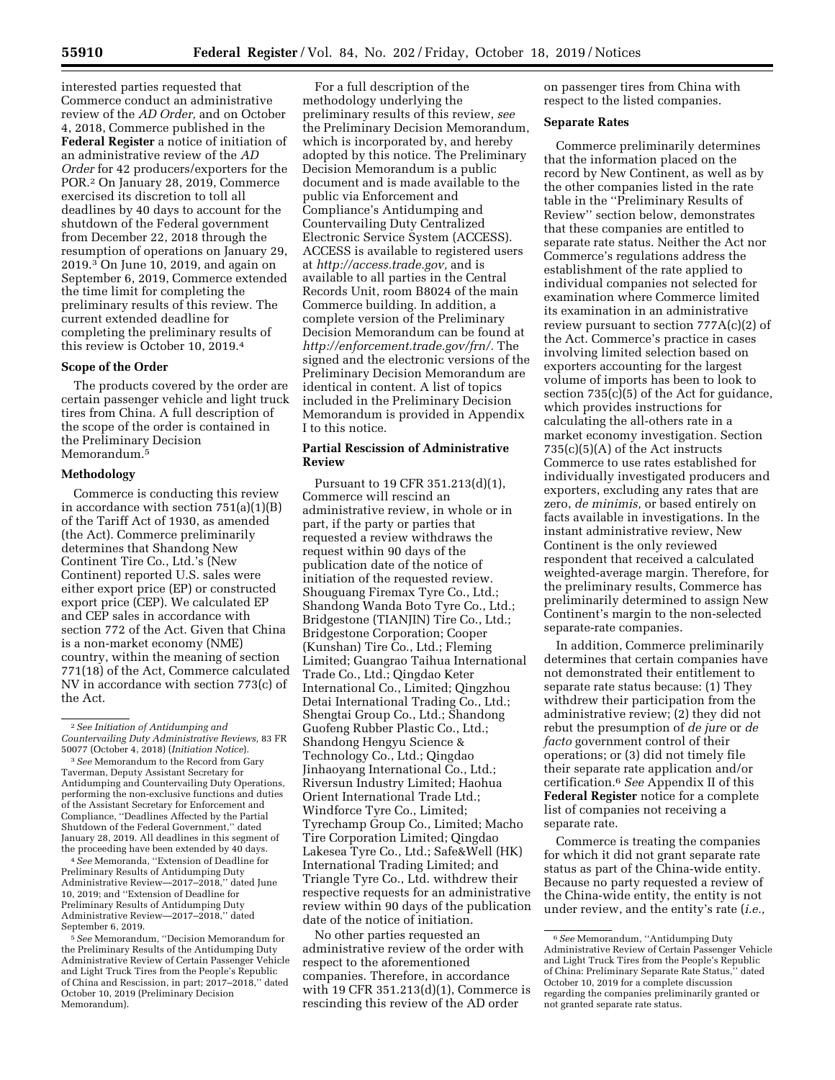interested parties requested that Commerce conduct an administrative review of the *AD Order,* and on October 4, 2018, Commerce published in the **Federal Register** a notice of initiation of an administrative review of the *AD Order* for 42 producers/exporters for the POR.2 On January 28, 2019, Commerce exercised its discretion to toll all deadlines by 40 days to account for the shutdown of the Federal government from December 22, 2018 through the resumption of operations on January 29, 2019.3 On June 10, 2019, and again on September 6, 2019, Commerce extended the time limit for completing the preliminary results of this review. The current extended deadline for completing the preliminary results of this review is October 10, 2019.4

### **Scope of the Order**

The products covered by the order are certain passenger vehicle and light truck tires from China. A full description of the scope of the order is contained in the Preliminary Decision Memorandum.5

### **Methodology**

Commerce is conducting this review in accordance with section 751(a)(1)(B) of the Tariff Act of 1930, as amended (the Act). Commerce preliminarily determines that Shandong New Continent Tire Co., Ltd.'s (New Continent) reported U.S. sales were either export price (EP) or constructed export price (CEP). We calculated EP and CEP sales in accordance with section 772 of the Act. Given that China is a non-market economy (NME) country, within the meaning of section 771(18) of the Act, Commerce calculated NV in accordance with section 773(c) of the Act.

4*See* Memoranda, ''Extension of Deadline for Preliminary Results of Antidumping Duty Administrative Review—2017–2018,'' dated June 10, 2019; and ''Extension of Deadline for Preliminary Results of Antidumping Duty Administrative Review—2017–2018,'' dated September 6, 2019.

5*See* Memorandum, ''Decision Memorandum for the Preliminary Results of the Antidumping Duty Administrative Review of Certain Passenger Vehicle and Light Truck Tires from the People's Republic of China and Rescission, in part; 2017–2018,'' dated October 10, 2019 (Preliminary Decision Memorandum).

For a full description of the methodology underlying the preliminary results of this review, *see*  the Preliminary Decision Memorandum, which is incorporated by, and hereby adopted by this notice. The Preliminary Decision Memorandum is a public document and is made available to the public via Enforcement and Compliance's Antidumping and Countervailing Duty Centralized Electronic Service System (ACCESS). ACCESS is available to registered users at *[http://access.trade.gov,](http://access.trade.gov)* and is available to all parties in the Central Records Unit, room B8024 of the main Commerce building. In addition, a complete version of the Preliminary Decision Memorandum can be found at *[http://enforcement.trade.gov/frn/.](http://enforcement.trade.gov/frn/)* The signed and the electronic versions of the Preliminary Decision Memorandum are identical in content. A list of topics included in the Preliminary Decision Memorandum is provided in Appendix I to this notice.

# **Partial Rescission of Administrative Review**

Pursuant to 19 CFR 351.213(d)(1), Commerce will rescind an administrative review, in whole or in part, if the party or parties that requested a review withdraws the request within 90 days of the publication date of the notice of initiation of the requested review. Shouguang Firemax Tyre Co., Ltd.; Shandong Wanda Boto Tyre Co., Ltd.; Bridgestone (TIANJIN) Tire Co., Ltd.; Bridgestone Corporation; Cooper (Kunshan) Tire Co., Ltd.; Fleming Limited; Guangrao Taihua International Trade Co., Ltd.; Qingdao Keter International Co., Limited; Qingzhou Detai International Trading Co., Ltd.; Shengtai Group Co., Ltd.; Shandong Guofeng Rubber Plastic Co., Ltd.; Shandong Hengyu Science & Technology Co., Ltd.; Qingdao Jinhaoyang International Co., Ltd.; Riversun Industry Limited; Haohua Orient International Trade Ltd.; Windforce Tyre Co., Limited; Tyrechamp Group Co., Limited; Macho Tire Corporation Limited; Qingdao Lakesea Tyre Co., Ltd.; Safe&Well (HK) International Trading Limited; and Triangle Tyre Co., Ltd. withdrew their respective requests for an administrative review within 90 days of the publication date of the notice of initiation.

No other parties requested an administrative review of the order with respect to the aforementioned companies. Therefore, in accordance with 19 CFR 351.213(d)(1), Commerce is rescinding this review of the AD order

on passenger tires from China with respect to the listed companies.

#### **Separate Rates**

Commerce preliminarily determines that the information placed on the record by New Continent, as well as by the other companies listed in the rate table in the ''Preliminary Results of Review'' section below, demonstrates that these companies are entitled to separate rate status. Neither the Act nor Commerce's regulations address the establishment of the rate applied to individual companies not selected for examination where Commerce limited its examination in an administrative review pursuant to section 777A(c)(2) of the Act. Commerce's practice in cases involving limited selection based on exporters accounting for the largest volume of imports has been to look to section 735(c)(5) of the Act for guidance, which provides instructions for calculating the all-others rate in a market economy investigation. Section  $735(c)(5)(A)$  of the Act instructs Commerce to use rates established for individually investigated producers and exporters, excluding any rates that are zero, *de minimis,* or based entirely on facts available in investigations. In the instant administrative review, New Continent is the only reviewed respondent that received a calculated weighted-average margin. Therefore, for the preliminary results, Commerce has preliminarily determined to assign New Continent's margin to the non-selected separate-rate companies.

In addition, Commerce preliminarily determines that certain companies have not demonstrated their entitlement to separate rate status because: (1) They withdrew their participation from the administrative review; (2) they did not rebut the presumption of *de jure* or *de facto* government control of their operations; or (3) did not timely file their separate rate application and/or certification.6 *See* Appendix II of this **Federal Register** notice for a complete list of companies not receiving a separate rate.

Commerce is treating the companies for which it did not grant separate rate status as part of the China-wide entity. Because no party requested a review of the China-wide entity, the entity is not under review, and the entity's rate (*i.e.,* 

<sup>2</sup>*See Initiation of Antidumping and Countervailing Duty Administrative Reviews,* 83 FR 50077 (October 4, 2018) (*Initiation Notice*).

<sup>3</sup>*See* Memorandum to the Record from Gary Taverman, Deputy Assistant Secretary for Antidumping and Countervailing Duty Operations, performing the non-exclusive functions and duties of the Assistant Secretary for Enforcement and Compliance, ''Deadlines Affected by the Partial Shutdown of the Federal Government,'' dated January 28, 2019. All deadlines in this segment of the proceeding have been extended by 40 days.

<sup>6</sup>*See* Memorandum, ''Antidumping Duty Administrative Review of Certain Passenger Vehicle and Light Truck Tires from the People's  $\check{\mathrm{R}}$ epublic of China: Preliminary Separate Rate Status,'' dated October 10, 2019 for a complete discussion regarding the companies preliminarily granted or not granted separate rate status.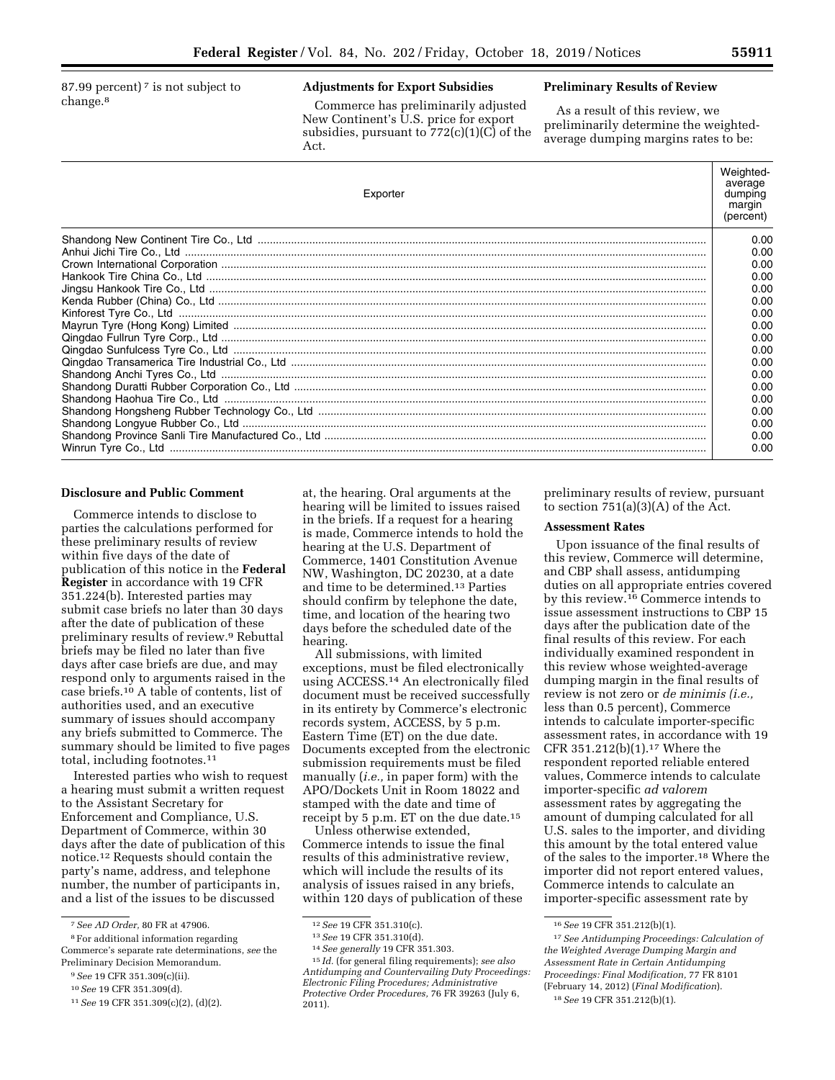87.99 percent)<sup> $7$ </sup> is not subject to change.8

# **Adjustments for Export Subsidies**

Commerce has preliminarily adjusted New Continent's U.S. price for export subsidies, pursuant to 772(c)(1)(C) of the Act.

#### **Preliminary Results of Review**

As a result of this review, we preliminarily determine the weightedaverage dumping margins rates to be:

| Exporter | Weighted-<br>average<br>dumping<br>margin<br>(percent) |
|----------|--------------------------------------------------------|
|          | 0.00                                                   |
|          | 0.00                                                   |
|          | 0.00                                                   |
|          | 0.00                                                   |
|          | 0.00                                                   |
|          | 0.00                                                   |
|          | 0.00                                                   |
|          | 0.00                                                   |
|          | 0.00                                                   |
|          | 0.00                                                   |
|          | 0.00                                                   |
|          | 0.00                                                   |
|          | 0.00                                                   |
|          | 0.00                                                   |
|          | 0.00                                                   |
|          | 0.00                                                   |
|          | 0.00                                                   |
|          | 0.00                                                   |

# **Disclosure and Public Comment**

Commerce intends to disclose to parties the calculations performed for these preliminary results of review within five days of the date of publication of this notice in the **Federal Register** in accordance with 19 CFR 351.224(b). Interested parties may submit case briefs no later than 30 days after the date of publication of these preliminary results of review.9 Rebuttal briefs may be filed no later than five days after case briefs are due, and may respond only to arguments raised in the case briefs.10 A table of contents, list of authorities used, and an executive summary of issues should accompany any briefs submitted to Commerce. The summary should be limited to five pages total, including footnotes.11

Interested parties who wish to request a hearing must submit a written request to the Assistant Secretary for Enforcement and Compliance, U.S. Department of Commerce, within 30 days after the date of publication of this notice.12 Requests should contain the party's name, address, and telephone number, the number of participants in, and a list of the issues to be discussed

8For additional information regarding Commerce's separate rate determinations, *see* the

Preliminary Decision Memorandum.

at, the hearing. Oral arguments at the hearing will be limited to issues raised in the briefs. If a request for a hearing is made, Commerce intends to hold the hearing at the U.S. Department of Commerce, 1401 Constitution Avenue NW, Washington, DC 20230, at a date and time to be determined.13 Parties should confirm by telephone the date, time, and location of the hearing two days before the scheduled date of the hearing.

All submissions, with limited exceptions, must be filed electronically using ACCESS.14 An electronically filed document must be received successfully in its entirety by Commerce's electronic records system, ACCESS, by 5 p.m. Eastern Time (ET) on the due date. Documents excepted from the electronic submission requirements must be filed manually (*i.e.,* in paper form) with the APO/Dockets Unit in Room 18022 and stamped with the date and time of receipt by 5 p.m. ET on the due date.15

Unless otherwise extended, Commerce intends to issue the final results of this administrative review, which will include the results of its analysis of issues raised in any briefs, within 120 days of publication of these preliminary results of review, pursuant to section  $751(a)(3)(A)$  of the Act.

#### **Assessment Rates**

Upon issuance of the final results of this review, Commerce will determine, and CBP shall assess, antidumping duties on all appropriate entries covered by this review.16 Commerce intends to issue assessment instructions to CBP 15 days after the publication date of the final results of this review. For each individually examined respondent in this review whose weighted-average dumping margin in the final results of review is not zero or *de minimis (i.e.,*  less than 0.5 percent), Commerce intends to calculate importer-specific assessment rates, in accordance with 19 CFR 351.212(b)(1).17 Where the respondent reported reliable entered values, Commerce intends to calculate importer-specific *ad valorem*  assessment rates by aggregating the amount of dumping calculated for all U.S. sales to the importer, and dividing this amount by the total entered value of the sales to the importer.18 Where the importer did not report entered values, Commerce intends to calculate an importer-specific assessment rate by

<sup>7</sup>*See AD Order,* 80 FR at 47906.

<sup>9</sup>*See* 19 CFR 351.309(c)(ii).

<sup>10</sup>*See* 19 CFR 351.309(d).

<sup>11</sup>*See* 19 CFR 351.309(c)(2), (d)(2).

<sup>12</sup>*See* 19 CFR 351.310(c). 13*See* 19 CFR 351.310(d). 14*See generally* 19 CFR 351.303. 15 *Id.* (for general filing requirements); *see also Antidumping and Countervailing Duty Proceedings: Electronic Filing Procedures; Administrative Protective Order Procedures,* 76 FR 39263 (July 6, 2011).

<sup>16</sup>*See* 19 CFR 351.212(b)(1).

<sup>17</sup>*See Antidumping Proceedings: Calculation of the Weighted Average Dumping Margin and Assessment Rate in Certain Antidumping Proceedings: Final Modification,* 77 FR 8101 (February 14, 2012) (*Final Modification*). 18*See* 19 CFR 351.212(b)(1).